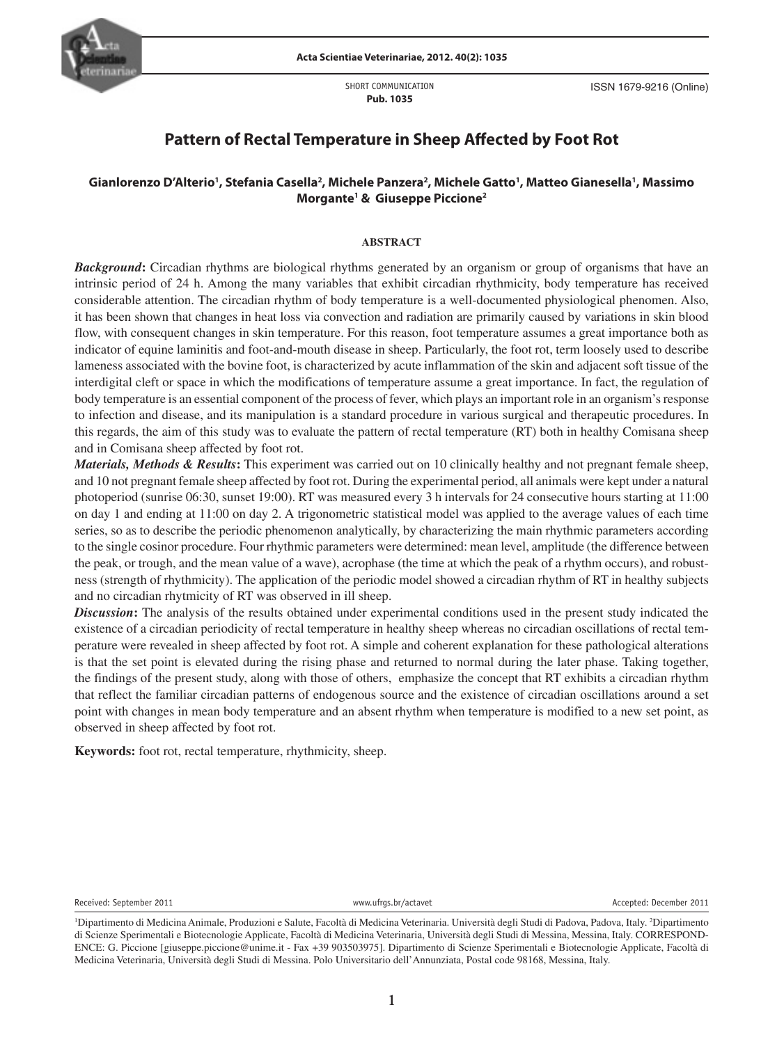

SHORT COMMUNICATION **Pub. 1035**

ISSN 1679-9216 (Online)

# **Pattern of Rectal Temperature in Sheep Affected by Foot Rot**

## $\bm{\mathsf{G}}$ ianlorenzo D'Alterio<sup>1</sup>, Stefania Casella<sup>2</sup>, Michele Panzera<sup>2</sup>, Michele Gatto<sup>1</sup>, Matteo Gianesella<sup>1</sup>, Massimo **Morgante1 & Giuseppe Piccione2**

## **ABSTRACT**

*Background*: Circadian rhythms are biological rhythms generated by an organism or group of organisms that have an intrinsic period of 24 h. Among the many variables that exhibit circadian rhythmicity, body temperature has received considerable attention. The circadian rhythm of body temperature is a well-documented physiological phenomen. Also, it has been shown that changes in heat loss via convection and radiation are primarily caused by variations in skin blood flow, with consequent changes in skin temperature. For this reason, foot temperature assumes a great importance both as indicator of equine laminitis and foot-and-mouth disease in sheep. Particularly, the foot rot, term loosely used to describe lameness associated with the bovine foot, is characterized by acute inflammation of the skin and adjacent soft tissue of the interdigital cleft or space in which the modifications of temperature assume a great importance. In fact, the regulation of body temperature is an essential component of the process of fever, which plays an important role in an organism's response to infection and disease, and its manipulation is a standard procedure in various surgical and therapeutic procedures. In this regards, the aim of this study was to evaluate the pattern of rectal temperature (RT) both in healthy Comisana sheep and in Comisana sheep affected by foot rot.

series, so as to describe the periodic phenomenon analytically, by characterizing the main rhythmic parameters according *Materials, Methods & Results***:** This experiment was carried out on 10 clinically healthy and not pregnant female sheep, and 10 not pregnant female sheep affected by foot rot. During the experimental period, all animals were kept under a natural photoperiod (sunrise 06:30, sunset 19:00). RT was measured every 3 h intervals for 24 consecutive hours starting at 11:00 on day 1 and ending at 11:00 on day 2. A trigonometric statistical model was applied to the average values of each time to the single cosinor procedure. Four rhythmic parameters were determined: mean level, amplitude (the difference between the peak, or trough, and the mean value of a wave), acrophase (the time at which the peak of a rhythm occurs), and robustness (strength of rhythmicity). The application of the periodic model showed a circadian rhythm of RT in healthy subjects and no circadian rhytmicity of RT was observed in ill sheep.

*Discussion***:** The analysis of the results obtained under experimental conditions used in the present study indicated the existence of a circadian periodicity of rectal temperature in healthy sheep whereas no circadian oscillations of rectal temperature were revealed in sheep affected by foot rot. A simple and coherent explanation for these pathological alterations is that the set point is elevated during the rising phase and returned to normal during the later phase. Taking together, the findings of the present study, along with those of others, emphasize the concept that RT exhibits a circadian rhythm that reflect the familiar circadian patterns of endogenous source and the existence of circadian oscillations around a set point with changes in mean body temperature and an absent rhythm when temperature is modified to a new set point, as observed in sheep affected by foot rot.

**Keywords:** foot rot, rectal temperature, rhythmicity, sheep.

Received: September 2011 **WEITHEREN WEITER: ACCEPTED: MEITHEREN WWW.ufrgs.br/actavet** Accepted: December 2011

<sup>1</sup> Dipartimento di Medicina Animale, Produzioni e Salute, Facoltà di Medicina Veterinaria. Università degli Studi di Padova, Padova, Italy. 2 Dipartimento di Scienze Sperimentali e Biotecnologie Applicate, Facoltà di Medicina Veterinaria, Università degli Studi di Messina, Messina, Italy. CORRESPOND-ENCE: G. Piccione [giuseppe.piccione@unime.it - Fax +39 903503975]. Dipartimento di Scienze Sperimentali e Biotecnologie Applicate, Facoltà di Medicina Veterinaria, Università degli Studi di Messina. Polo Universitario dell'Annunziata, Postal code 98168, Messina, Italy.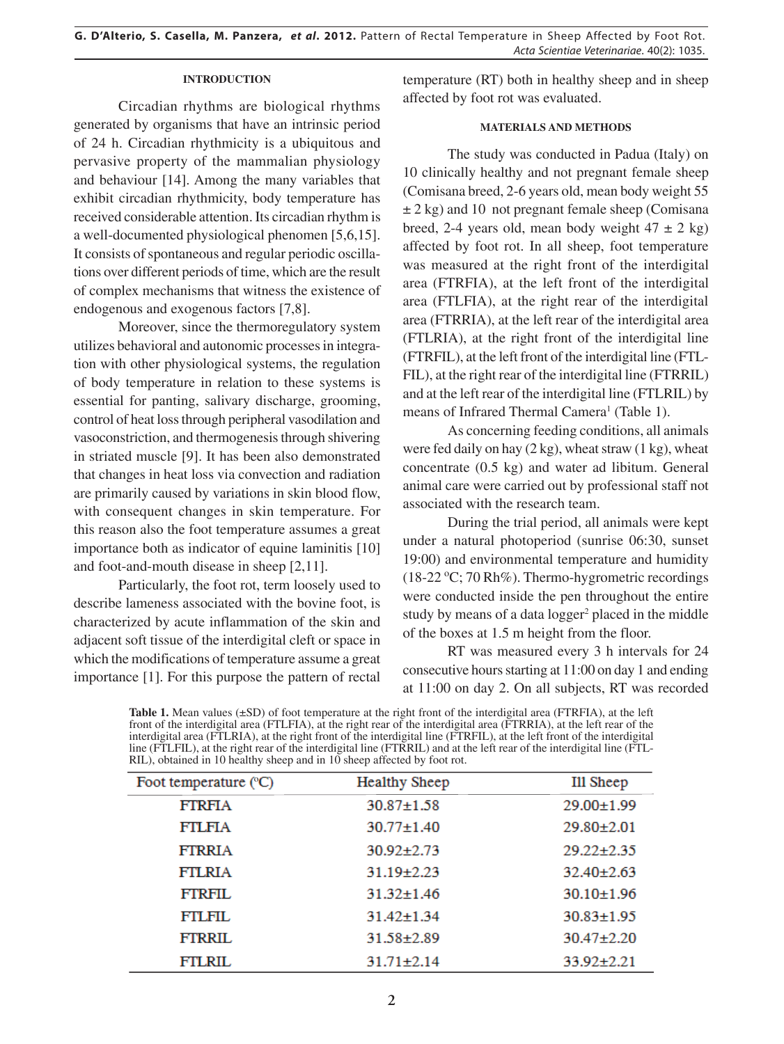## **INTRODUCTION**

Circadian rhythms are biological rhythms generated by organisms that have an intrinsic period of 24 h. Circadian rhythmicity is a ubiquitous and pervasive property of the mammalian physiology and behaviour [14]. Among the many variables that exhibit circadian rhythmicity, body temperature has received considerable attention. Its circadian rhythm is a well-documented physiological phenomen [5,6,15]. It consists of spontaneous and regular periodic oscillations over different periods of time, which are the result of complex mechanisms that witness the existence of endogenous and exogenous factors [7,8].

Moreover, since the thermoregulatory system utilizes behavioral and autonomic processes in integration with other physiological systems, the regulation of body temperature in relation to these systems is essential for panting, salivary discharge, grooming, control of heat loss through peripheral vasodilation and vasoconstriction, and thermogenesis through shivering in striated muscle [9]. It has been also demonstrated that changes in heat loss via convection and radiation are primarily caused by variations in skin blood flow, with consequent changes in skin temperature. For this reason also the foot temperature assumes a great importance both as indicator of equine laminitis [10] and foot-and-mouth disease in sheep [2,11].

Particularly, the foot rot, term loosely used to describe lameness associated with the bovine foot, is characterized by acute inflammation of the skin and adjacent soft tissue of the interdigital cleft or space in which the modifications of temperature assume a great importance [1]. For this purpose the pattern of rectal temperature (RT) both in healthy sheep and in sheep affected by foot rot was evaluated.

## **MATERIALS AND METHODS**

The study was conducted in Padua (Italy) on 10 clinically healthy and not pregnant female sheep (Comisana breed, 2-6 years old, mean body weight 55  $\pm$  2 kg) and 10 not pregnant female sheep (Comisana breed, 2-4 years old, mean body weight  $47 \pm 2$  kg) affected by foot rot. In all sheep, foot temperature was measured at the right front of the interdigital area (FTRFIA), at the left front of the interdigital area (FTLFIA), at the right rear of the interdigital area (FTRRIA), at the left rear of the interdigital area (FTLRIA), at the right front of the interdigital line (FTRFIL), at the left front of the interdigital line (FTL-FIL), at the right rear of the interdigital line (FTRRIL) and at the left rear of the interdigital line (FTLRIL) by means of Infrared Thermal Camera<sup>1</sup> (Table 1).

As concerning feeding conditions, all animals were fed daily on hay  $(2 \text{ kg})$ , wheat straw  $(1 \text{ kg})$ , wheat concentrate (0.5 kg) and water ad libitum. General animal care were carried out by professional staff not associated with the research team.

During the trial period, all animals were kept under a natural photoperiod (sunrise 06:30, sunset 19:00) and environmental temperature and humidity (18-22 °C; 70 Rh%). Thermo-hygrometric recordings were conducted inside the pen throughout the entire study by means of a data logger<sup>2</sup> placed in the middle of the boxes at 1.5 m height from the floor.

RT was measured every 3 h intervals for 24 consecutive hours starting at 11:00 on day 1 and ending at 11:00 on day 2. On all subjects, RT was recorded

**Table 1.** Mean values (±SD) of foot temperature at the right front of the interdigital area (FTRFIA), at the left front of the interdigital area (FTLFIA), at the right rear of the interdigital area (FTRRIA), at the left rear of the interdigital area (FTLRIA), at the right front of the interdigital line (FTRFIL), at the left front of the interdigital line (FTLFIL), at the right rear of the interdigital line (FTRRIL) and at the left rear of the interdigital line (FTL-RIL), obtained in 10 healthy sheep and in 10 sheep affected by foot rot.

| Foot temperature (°C) | <b>Healthy Sheep</b> | Ill Sheep        |
|-----------------------|----------------------|------------------|
| <b>FTRFIA</b>         | $30.87 \pm 1.58$     | $29.00 \pm 1.99$ |
| <b>FTLFIA</b>         | $30.77 \pm 1.40$     | $29.80 \pm 2.01$ |
| <b>FTRRIA</b>         | $30.92 + 2.73$       | $29.22 + 2.35$   |
| <b>FTLRIA</b>         | $31.19 + 2.23$       | $32.40 \pm 2.63$ |
| <b>FTRFIL</b>         | $31.32 \pm 1.46$     | $30.10 \pm 1.96$ |
| FTLFIL.               | $31.42 \pm 1.34$     | $30.83 + 1.95$   |
| FTRRIL                | $31.58 + 2.89$       | $30.47 + 2.20$   |
| <b>FTLRIL</b>         | $31.71 \pm 2.14$     | $33.92 \pm 2.21$ |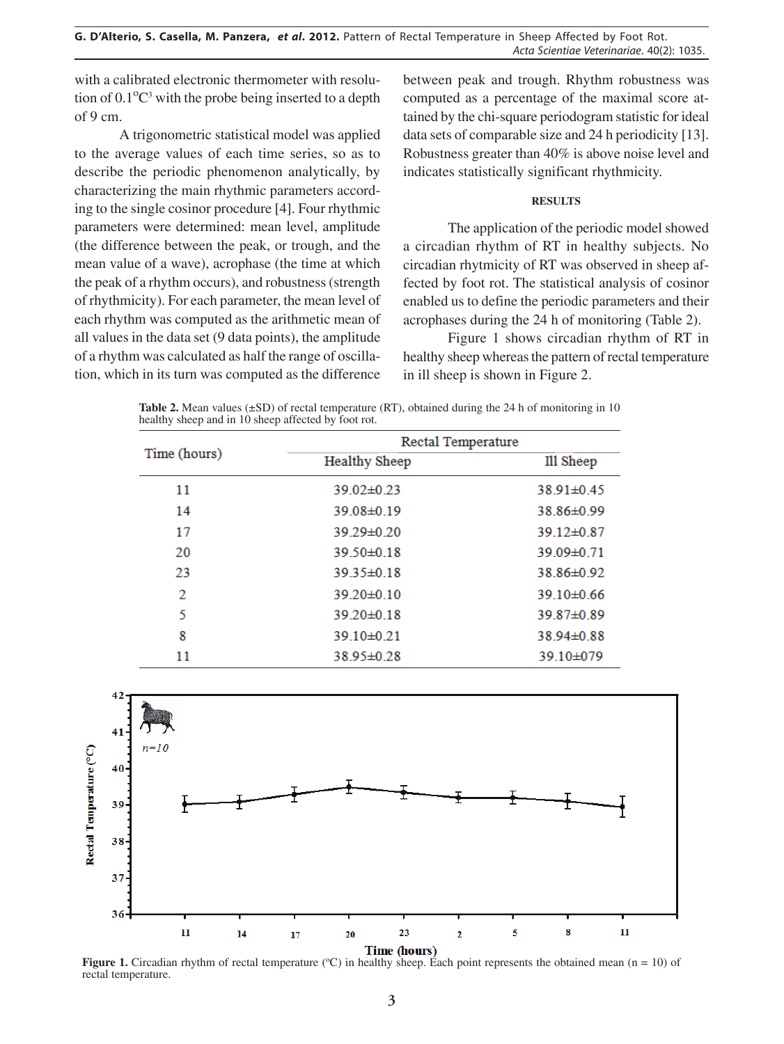with a calibrated electronic thermometer with resolution of  $0.1^{\circ}C^3$  with the probe being inserted to a depth of 9 cm.

A trigonometric statistical model was applied to the average values of each time series, so as to describe the periodic phenomenon analytically, by characterizing the main rhythmic parameters according to the single cosinor procedure [4]. Four rhythmic parameters were determined: mean level, amplitude (the difference between the peak, or trough, and the mean value of a wave), acrophase (the time at which the peak of a rhythm occurs), and robustness (strength of rhythmicity). For each parameter, the mean level of each rhythm was computed as the arithmetic mean of all values in the data set (9 data points), the amplitude of a rhythm was calculated as half the range of oscillation, which in its turn was computed as the difference between peak and trough. Rhythm robustness was computed as a percentage of the maximal score attained by the chi-square periodogram statistic for ideal data sets of comparable size and 24 h periodicity [13]. Robustness greater than 40% is above noise level and indicates statistically significant rhythmicity.

## **RESULTS**

The application of the periodic model showed a circadian rhythm of RT in healthy subjects. No circadian rhytmicity of RT was observed in sheep affected by foot rot. The statistical analysis of cosinor enabled us to define the periodic parameters and their acrophases during the 24 h of monitoring (Table 2).

Figure 1 shows circadian rhythm of RT in healthy sheep whereas the pattern of rectal temperature in ill sheep is shown in Figure 2.

Table 2. Mean values ( $\pm$ SD) of rectal temperature (RT), obtained during the 24 h of monitoring in 10 healthy sheep and in 10 sheep affected by foot rot.

| Time (hours) | Rectal Temperature   |                |  |
|--------------|----------------------|----------------|--|
|              | <b>Healthy Sheep</b> | Ill Sheep      |  |
| 11           | $39.02 \pm 0.23$     | 38.91±0.45     |  |
| 14           | 39.08±0.19           | 38.86±0.99     |  |
| 17           | 39.29±0.20           | $39.12\pm0.87$ |  |
| 20           | 39.50±0.18           | 39.09±0.71     |  |
| 23           | 39.35±0.18           | 38.86±0.92     |  |
| 2            | $39.20 \pm 0.10$     | $39.10\pm0.66$ |  |
| 5            | $39.20 \pm 0.18$     | 39.87±0.89     |  |
| 8            | 39.10±0.21           | 38.94±0.88     |  |
| 11           | 38.95±0.28           | 39.10±079      |  |



**Figure 1.** Circadian rhythm of rectal temperature  $(C)$  in healthy sheep. Each point represents the obtained mean (n = 10) of rectal temperature.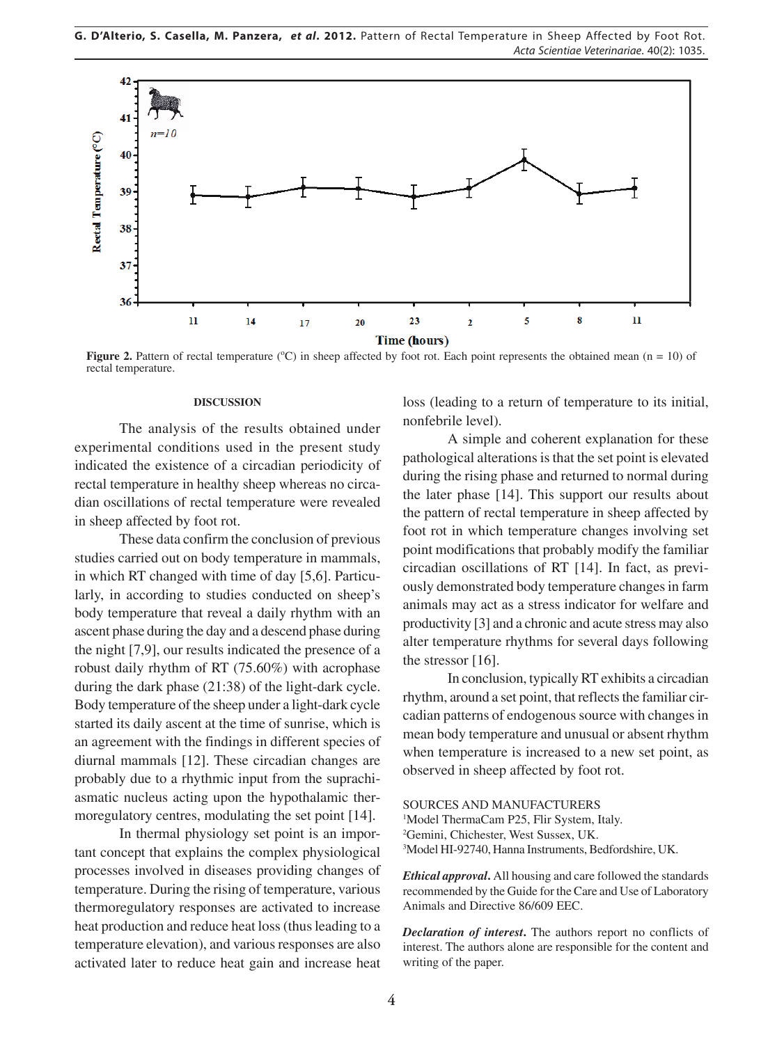

**Figure 2.** Pattern of rectal temperature ( $\degree$ C) in sheep affected by foot rot. Each point represents the obtained mean (n = 10) of rectal temperature.

### **DISCUSSION**

The analysis of the results obtained under experimental conditions used in the present study indicated the existence of a circadian periodicity of rectal temperature in healthy sheep whereas no circadian oscillations of rectal temperature were revealed in sheep affected by foot rot.

These data confirm the conclusion of previous studies carried out on body temperature in mammals, in which RT changed with time of day [5,6]. Particularly, in according to studies conducted on sheep's body temperature that reveal a daily rhythm with an ascent phase during the day and a descend phase during the night [7,9], our results indicated the presence of a robust daily rhythm of RT (75.60%) with acrophase during the dark phase (21:38) of the light-dark cycle. Body temperature of the sheep under a light-dark cycle started its daily ascent at the time of sunrise, which is an agreement with the findings in different species of diurnal mammals [12]. These circadian changes are probably due to a rhythmic input from the suprachiasmatic nucleus acting upon the hypothalamic thermoregulatory centres, modulating the set point [14].

In thermal physiology set point is an important concept that explains the complex physiological processes involved in diseases providing changes of temperature. During the rising of temperature, various thermoregulatory responses are activated to increase heat production and reduce heat loss (thus leading to a temperature elevation), and various responses are also activated later to reduce heat gain and increase heat loss (leading to a return of temperature to its initial, nonfebrile level).

A simple and coherent explanation for these pathological alterations is that the set point is elevated during the rising phase and returned to normal during the later phase [14]. This support our results about the pattern of rectal temperature in sheep affected by foot rot in which temperature changes involving set point modifications that probably modify the familiar circadian oscillations of RT [14]. In fact, as previously demonstrated body temperature changes in farm animals may act as a stress indicator for welfare and productivity [3] and a chronic and acute stress may also alter temperature rhythms for several days following the stressor [16].

In conclusion, typically RT exhibits a circadian rhythm, around a set point, that reflects the familiar circadian patterns of endogenous source with changes in mean body temperature and unusual or absent rhythm when temperature is increased to a new set point, as observed in sheep affected by foot rot.

SOURCES AND MANUFACTURERS <sup>1</sup>Model ThermaCam P25, Flir System, Italy. 2 Gemini, Chichester, West Sussex, UK. 3 Model HI-92740, Hanna Instruments, Bedfordshire, UK.

*Ethical approval***.** All housing and care followed the standards recommended by the Guide for the Care and Use of Laboratory Animals and Directive 86/609 EEC.

*Declaration of interest***.** The authors report no conflicts of interest. The authors alone are responsible for the content and writing of the paper.